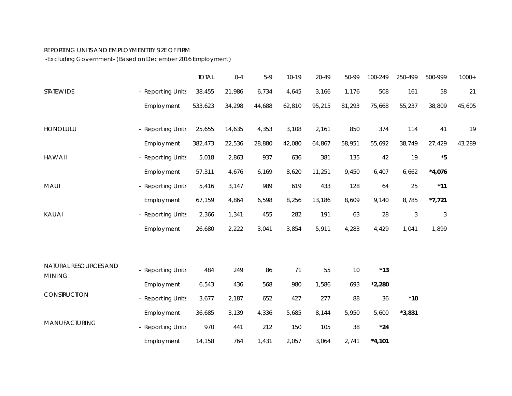## REPORTING UNITS AND EMPLOYMENT BY SIZE OF FIRM

-Ex cluding Government- (Based on December 2016 Employment)

|                                        |                   | <b>TOTAL</b> | $0 - 4$ | $5-9$  | $10-19$ | 20-49  | 50-99  | 100-249  | 250-499    | 500-999     | $1000+$ |
|----------------------------------------|-------------------|--------------|---------|--------|---------|--------|--------|----------|------------|-------------|---------|
| <b>STATEWIDE</b>                       | - Reporting Units | 38,455       | 21,986  | 6,734  | 4,645   | 3,166  | 1,176  | 508      | 161        | 58          | 21      |
|                                        | <b>Employment</b> | 533,623      | 34,298  | 44,688 | 62,810  | 95,215 | 81,293 | 75,668   | 55,237     | 38,809      | 45,605  |
| <b>HONOLULU</b>                        | - Reporting Units | 25,655       | 14,635  | 4,353  | 3,108   | 2,161  | 850    | 374      | 114        | 41          | 19      |
|                                        | <b>Employment</b> | 382,473      | 22,536  | 28,880 | 42,080  | 64,867 | 58,951 | 55,692   | 38,749     | 27,429      | 43,289  |
| <b>HAWAII</b>                          | - Reporting Units | 5,018        | 2,863   | 937    | 636     | 381    | 135    | 42       | 19         | $^{\star}5$ |         |
|                                        | <b>Employment</b> | 57,311       | 4,676   | 6,169  | 8,620   | 11,251 | 9,450  | 6,407    | 6,662      | $*4,076$    |         |
| <b>MAUI</b>                            | - Reporting Units | 5,416        | 3,147   | 989    | 619     | 433    | 128    | 64       | 25         | $*11$       |         |
|                                        | <b>Employment</b> | 67,159       | 4,864   | 6,598  | 8,256   | 13,186 | 8,609  | 9,140    | 8,785      | $*7,721$    |         |
| KAUAI                                  | - Reporting Units | 2,366        | 1,341   | 455    | 282     | 191    | 63     | 28       | $\sqrt{3}$ | $\sqrt{3}$  |         |
|                                        | <b>Employment</b> | 26,680       | 2,222   | 3,041  | 3,854   | 5,911  | 4,283  | 4,429    | 1,041      | 1,899       |         |
|                                        |                   |              |         |        |         |        |        |          |            |             |         |
| NATURAL RESOURCES AND<br><b>MINING</b> | - Reporting Units | 484          | 249     | 86     | 71      | 55     | 10     | $*13$    |            |             |         |
|                                        | <b>Employment</b> | 6,543        | 436     | 568    | 980     | 1,586  | 693    | $*2,280$ |            |             |         |
| CONSTRUCTION                           | - Reporting Units | 3,677        | 2,187   | 652    | 427     | 277    | 88     | 36       | $*10$      |             |         |
|                                        | Employ ment       | 36,685       | 3,139   | 4,336  | 5,685   | 8,144  | 5,950  | 5,600    | $*3,831$   |             |         |
| MANUFACTURING                          | - Reporting Units | 970          | 441     | 212    | 150     | 105    | 38     | $*24$    |            |             |         |
|                                        | <b>Employment</b> | 14,158       | 764     | 1,431  | 2,057   | 3,064  | 2,741  | $*4,101$ |            |             |         |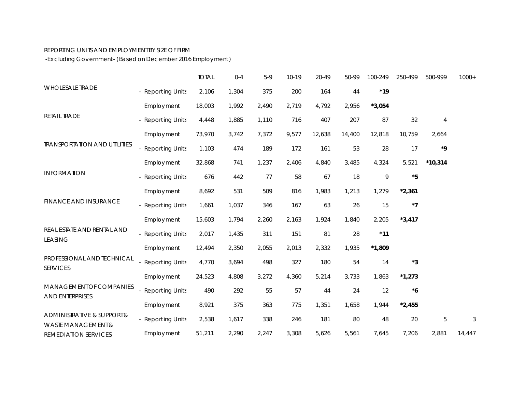## REPORTING UNITS AND EMPLOYMENT BY SIZE OF FIRM

-Ex cluding Government- (Based on December 2016 Employment)

|                                                  |                   | <b>TOTAL</b> | $0 - 4$ | $5-9$ | 10-19 | 20-49  | 50-99  | 100-249  | 250-499                           | 500-999                  | $1000+$ |
|--------------------------------------------------|-------------------|--------------|---------|-------|-------|--------|--------|----------|-----------------------------------|--------------------------|---------|
| <b>WHOLESALE TRADE</b>                           | - Reporting Units | 2,106        | 1,304   | 375   | 200   | 164    | 44     | $*19$    |                                   |                          |         |
| RETAIL TRADE                                     | Employ ment       | 18,003       | 1,992   | 2,490 | 2,719 | 4,792  | 2,956  | $*3,054$ |                                   |                          |         |
|                                                  | - Reporting Units | 4,448        | 1,885   | 1,110 | 716   | 407    | 207    | 87       | 32                                | $\overline{4}$           |         |
| <b>TRANSPORTATION AND UTILITIES</b>              | Employ ment       | 73,970       | 3,742   | 7,372 | 9,577 | 12,638 | 14,400 | 12,818   | 10,759                            | 2,664                    |         |
|                                                  | - Reporting Units | 1,103        | 474     | 189   | 172   | 161    | 53     | 28       | 17                                | ${}^{\star}{\mathbf{9}}$ |         |
| <b>INFORMATION</b>                               | Employ ment       | 32,868       | 741     | 1,237 | 2,406 | 4,840  | 3,485  | 4,324    | 5,521                             | $*10,314$                |         |
|                                                  | - Reporting Units | 676          | 442     | 77    | 58    | 67     | 18     | 9        | $\boldsymbol{\mathsf{^{\star}5}}$ |                          |         |
| FINANCE AND INSURANCE                            | <b>Employment</b> | 8,692        | 531     | 509   | 816   | 1,983  | 1,213  | 1,279    | $*2,361$                          |                          |         |
|                                                  | - Reporting Units | 1,661        | 1,037   | 346   | 167   | 63     | 26     | 15       | $^{\star}7$                       |                          |         |
| REAL ESTATE AND RENTAL AND<br>LEASING            | Employ ment       | 15,603       | 1,794   | 2,260 | 2,163 | 1,924  | 1,840  | 2,205    | $*3,417$                          |                          |         |
|                                                  | - Reporting Units | 2,017        | 1,435   | 311   | 151   | 81     | 28     | $*11$    |                                   |                          |         |
|                                                  | Employ ment       | 12,494       | 2,350   | 2,055 | 2,013 | 2,332  | 1,935  | $*1,809$ |                                   |                          |         |
| PROFESSIONAL AND TECHNICAL<br><b>SERVICES</b>    | Reporting Units   | 4,770        | 3,694   | 498   | 327   | 180    | 54     | 14       | $*3$                              |                          |         |
|                                                  | Employ ment       | 24,523       | 4,808   | 3,272 | 4,360 | 5,214  | 3,733  | 1,863    | $*1,273$                          |                          |         |
| <b>MANAGEMENTOF COMPANIES</b><br>AND ENTERPRISES | - Reporting Units | 490          | 292     | 55    | 57    | 44     | 24     | 12       | $^{\ast}6$                        |                          |         |
|                                                  | Employ ment       | 8,921        | 375     | 363   | 775   | 1,351  | 1,658  | 1,944    | $*2,455$                          |                          |         |
| ADMINISTRATIVE & SUPPORT &<br>WASTE MANAGEMENT&  | - Reporting Units | 2,538        | 1,617   | 338   | 246   | 181    | 80     | 48       | 20                                | $\mathbf 5$              | 3       |
| REMEDIATION SERVICES                             | Employ ment       | 51,211       | 2,290   | 2,247 | 3,308 | 5,626  | 5,561  | 7,645    | 7,206                             | 2,881                    | 14,447  |